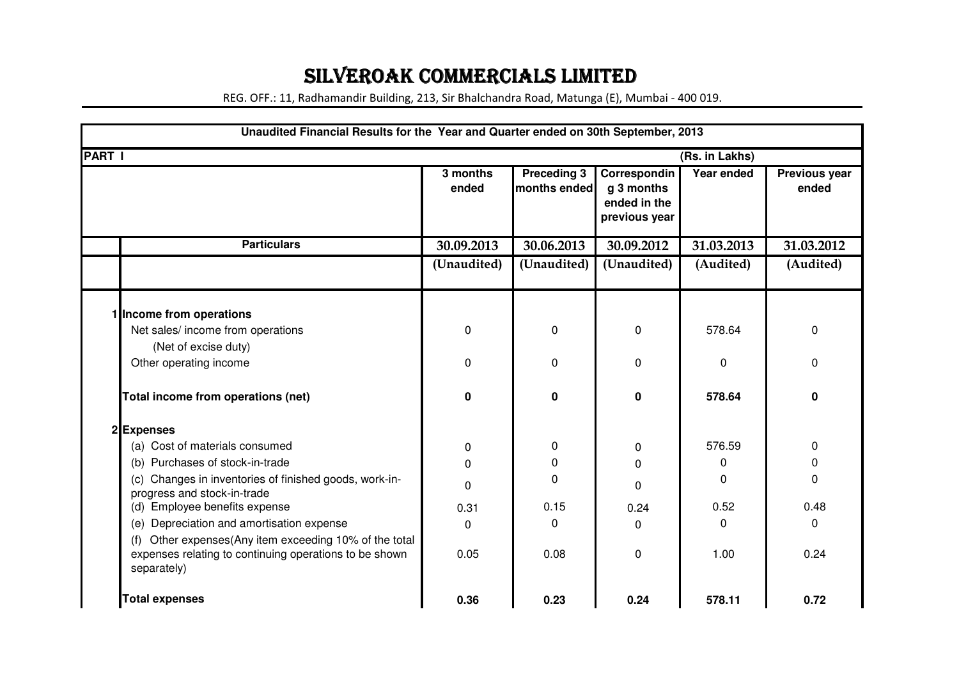## SILVEROAK COMMERCIALS LIMITED

REG. OFF.: 11, Radhamandir Building, 213, Sir Bhalchandra Road, Matunga (E), Mumbai - 400 019.

|               | Unaudited Financial Results for the Year and Quarter ended on 30th September, 2013                                                 |                   |                                    |                                                             |              |                        |  |
|---------------|------------------------------------------------------------------------------------------------------------------------------------|-------------------|------------------------------------|-------------------------------------------------------------|--------------|------------------------|--|
| <b>PART I</b> | (Rs. in Lakhs)                                                                                                                     |                   |                                    |                                                             |              |                        |  |
|               |                                                                                                                                    | 3 months<br>ended | <b>Preceding 3</b><br>months ended | Correspondin<br>g 3 months<br>ended in the<br>previous year | Year ended   | Previous year<br>ended |  |
|               | <b>Particulars</b>                                                                                                                 | 30.09.2013        | 30.06.2013                         | 30.09.2012                                                  | 31.03.2013   | 31.03.2012             |  |
|               |                                                                                                                                    | (Unaudited)       | (Unaudited)                        | (Unaudited)                                                 | (Audited)    | (Audited)              |  |
|               | 1 Income from operations                                                                                                           |                   |                                    |                                                             |              |                        |  |
|               | Net sales/ income from operations                                                                                                  | 0                 | 0                                  | $\pmb{0}$                                                   | 578.64       | 0                      |  |
|               | (Net of excise duty)                                                                                                               |                   |                                    |                                                             |              |                        |  |
|               | Other operating income                                                                                                             | 0                 | 0                                  | $\mathbf 0$                                                 | 0            | 0                      |  |
|               | Total income from operations (net)                                                                                                 | 0                 | $\mathbf 0$                        | $\mathbf 0$                                                 | 578.64       | ი                      |  |
|               | 2Expenses                                                                                                                          |                   |                                    |                                                             |              |                        |  |
|               | (a) Cost of materials consumed                                                                                                     | 0                 | 0                                  | 0                                                           | 576.59       | 0                      |  |
|               | (b) Purchases of stock-in-trade                                                                                                    | 0                 | 0                                  | 0                                                           | 0            | 0                      |  |
|               | (c) Changes in inventories of finished goods, work-in-<br>progress and stock-in-trade                                              | 0                 | 0                                  | 0                                                           | 0            | $\mathbf 0$            |  |
|               | (d) Employee benefits expense                                                                                                      | 0.31              | 0.15                               | 0.24                                                        | 0.52         | 0.48                   |  |
|               | (e) Depreciation and amortisation expense                                                                                          | 0                 | 0                                  | $\Omega$                                                    | $\mathbf{0}$ | 0                      |  |
|               | Other expenses(Any item exceeding 10% of the total<br>(f)<br>expenses relating to continuing operations to be shown<br>separately) | 0.05              | 0.08                               | $\mathbf 0$                                                 | 1.00         | 0.24                   |  |
|               | <b>Total expenses</b>                                                                                                              | 0.36              | 0.23                               | 0.24                                                        | 578.11       | 0.72                   |  |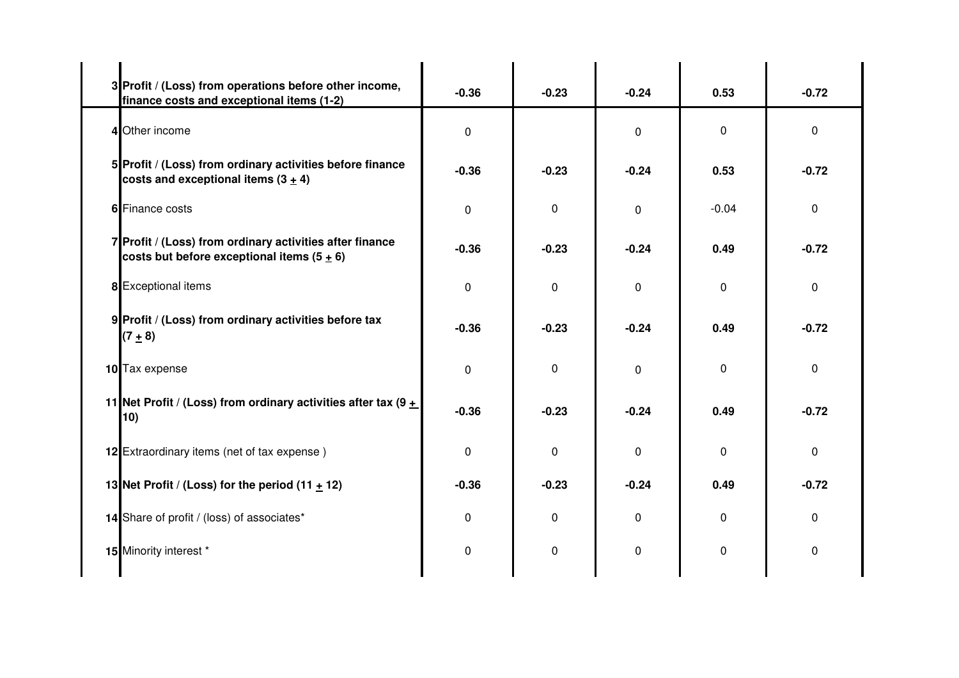| 3 Profit / (Loss) from operations before other income,<br>finance costs and exceptional items (1-2)      | $-0.36$     | $-0.23$  | $-0.24$     | 0.53         | $-0.72$ |
|----------------------------------------------------------------------------------------------------------|-------------|----------|-------------|--------------|---------|
| 4 Other income                                                                                           | 0           |          | $\mathbf 0$ | $\Omega$     | 0       |
| 5 Profit / (Loss) from ordinary activities before finance<br>costs and exceptional items $(3 + 4)$       | $-0.36$     | $-0.23$  | $-0.24$     | 0.53         | $-0.72$ |
| 6 Finance costs                                                                                          | $\mathbf 0$ | $\Omega$ | $\mathbf 0$ | $-0.04$      | 0       |
| 7 Profit / (Loss) from ordinary activities after finance<br>costs but before exceptional items $(5 + 6)$ | $-0.36$     | $-0.23$  | $-0.24$     | 0.49         | $-0.72$ |
| 8 Exceptional items                                                                                      | $\mathbf 0$ | 0        | $\Omega$    | 0            | 0       |
| 9 Profit / (Loss) from ordinary activities before tax<br>$(7 + 8)$                                       | $-0.36$     | $-0.23$  | $-0.24$     | 0.49         | $-0.72$ |
| 10 Tax expense                                                                                           | $\mathbf 0$ | $\Omega$ | $\Omega$    | $\mathbf{0}$ | 0       |
| 11 Net Profit / (Loss) from ordinary activities after tax (9 $\pm$<br>10)                                | $-0.36$     | $-0.23$  | $-0.24$     | 0.49         | $-0.72$ |
| 12 Extraordinary items (net of tax expense)                                                              | 0           | $\Omega$ | $\Omega$    | $\mathbf{0}$ | 0       |
| 13 Net Profit / (Loss) for the period $(11 + 12)$                                                        | $-0.36$     | $-0.23$  | $-0.24$     | 0.49         | $-0.72$ |
| 14 Share of profit / (loss) of associates*                                                               | 0           | $\Omega$ | $\Omega$    | $\mathbf{0}$ | 0       |
| 15 Minority interest *                                                                                   | 0           | $\Omega$ | $\Omega$    | $\mathbf{0}$ | 0       |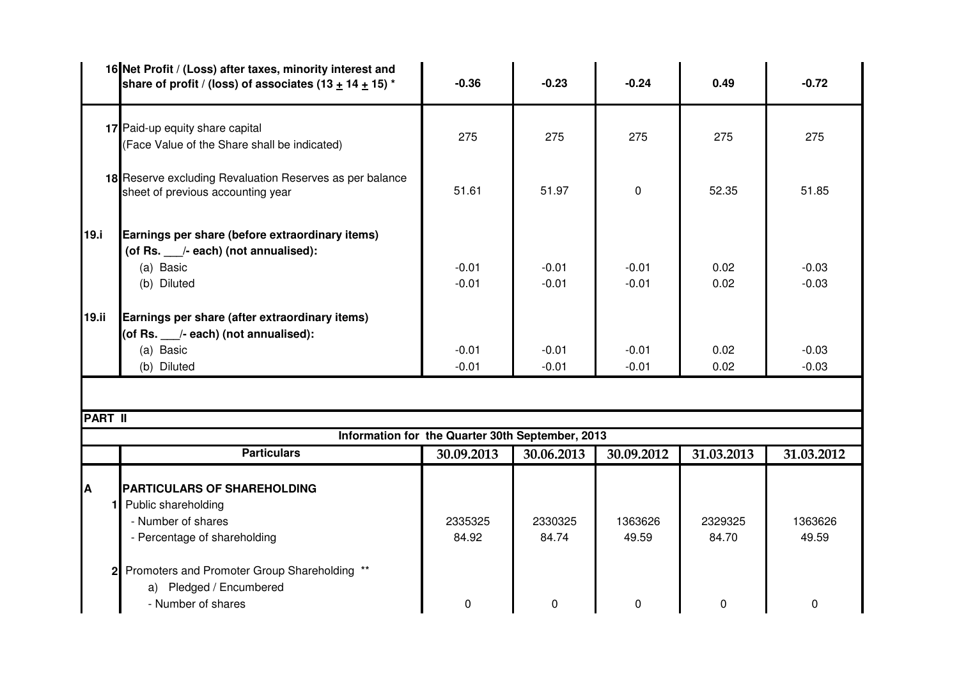|                | 16 Net Profit / (Loss) after taxes, minority interest and<br>share of profit / (loss) of associates $(13 + 14 + 15)^*$ | $-0.36$                                          | $-0.23$            | $-0.24$            | 0.49             | $-0.72$            |
|----------------|------------------------------------------------------------------------------------------------------------------------|--------------------------------------------------|--------------------|--------------------|------------------|--------------------|
|                | 17 Paid-up equity share capital<br>(Face Value of the Share shall be indicated)                                        | 275                                              | 275                | 275                | 275              | 275                |
|                | 18 Reserve excluding Revaluation Reserves as per balance<br>sheet of previous accounting year                          | 51.61                                            | 51.97              | $\mathbf 0$        | 52.35            | 51.85              |
| 19.i           | Earnings per share (before extraordinary items)<br>(of Rs. /- each) (not annualised):<br>(a) Basic<br>(b) Diluted      | $-0.01$<br>$-0.01$                               | $-0.01$<br>$-0.01$ | $-0.01$<br>$-0.01$ | 0.02<br>0.02     | $-0.03$<br>$-0.03$ |
| 19.ii          | Earnings per share (after extraordinary items)<br>(of Rs. /- each) (not annualised):<br>(a) Basic<br>(b) Diluted       | $-0.01$<br>$-0.01$                               | $-0.01$<br>$-0.01$ | $-0.01$<br>$-0.01$ | 0.02<br>0.02     | $-0.03$<br>$-0.03$ |
|                |                                                                                                                        |                                                  |                    |                    |                  |                    |
| <b>PART II</b> |                                                                                                                        |                                                  |                    |                    |                  |                    |
|                |                                                                                                                        | Information for the Quarter 30th September, 2013 |                    |                    |                  |                    |
|                | <b>Particulars</b>                                                                                                     | 30.09.2013                                       | 30.06.2013         | 30.09.2012         | 31.03.2013       | 31.03.2012         |
| A              | <b>PARTICULARS OF SHAREHOLDING</b><br>Public shareholding<br>- Number of shares<br>- Percentage of shareholding        | 2335325<br>84.92                                 | 2330325<br>84.74   | 1363626<br>49.59   | 2329325<br>84.70 | 1363626<br>49.59   |

<sup>0</sup> <sup>0</sup> <sup>0</sup> <sup>0</sup> <sup>0</sup>

**2** Promoters and Promoter Group Shareholding \*\*

a) Pledged / Encumbered

- Number of shares